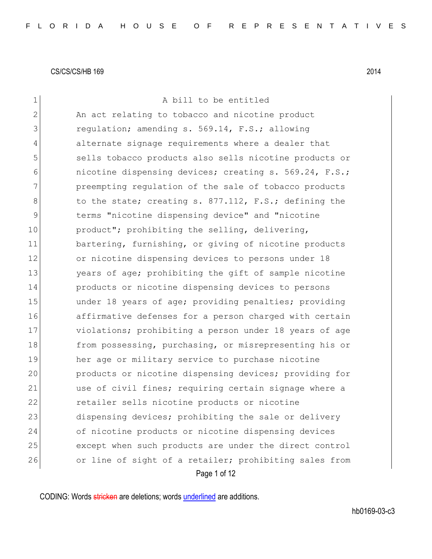| $\mathbf 1$    | A bill to be entitled                                  |
|----------------|--------------------------------------------------------|
| $\overline{2}$ | An act relating to tobacco and nicotine product        |
| 3              | regulation; amending s. 569.14, F.S.; allowing         |
| 4              | alternate signage requirements where a dealer that     |
| 5              | sells tobacco products also sells nicotine products or |
| 6              | nicotine dispensing devices; creating s. 569.24, F.S.; |
| 7              | preempting regulation of the sale of tobacco products  |
| 8              | to the state; creating s. 877.112, F.S.; defining the  |
| 9              | terms "nicotine dispensing device" and "nicotine       |
| 10             | product"; prohibiting the selling, delivering,         |
| 11             | bartering, furnishing, or giving of nicotine products  |
| 12             | or nicotine dispensing devices to persons under 18     |
| 13             | years of age; prohibiting the gift of sample nicotine  |
| 14             | products or nicotine dispensing devices to persons     |
| 15             | under 18 years of age; providing penalties; providing  |
| 16             | affirmative defenses for a person charged with certain |
| 17             | violations; prohibiting a person under 18 years of age |
| 18             | from possessing, purchasing, or misrepresenting his or |
| 19             | her age or military service to purchase nicotine       |
| 20             | products or nicotine dispensing devices; providing for |
| 21             | use of civil fines; requiring certain signage where a  |
| 22             | retailer sells nicotine products or nicotine           |
| 23             | dispensing devices; prohibiting the sale or delivery   |
| 24             | of nicotine products or nicotine dispensing devices    |
| 25             | except when such products are under the direct control |
| 26             | or line of sight of a retailer; prohibiting sales from |
|                | Page 1 of 12                                           |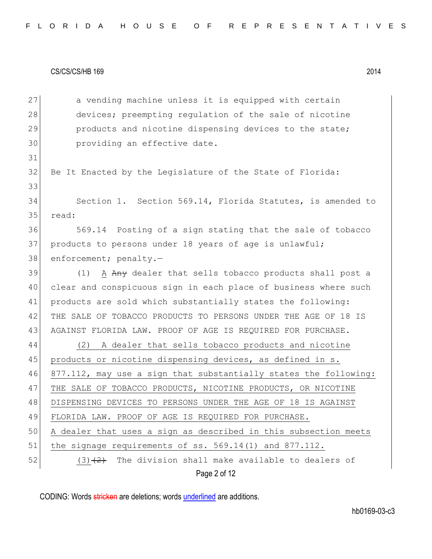| 27 | a vending machine unless it is equipped with certain             |
|----|------------------------------------------------------------------|
| 28 | devices; preempting regulation of the sale of nicotine           |
| 29 | products and nicotine dispensing devices to the state;           |
| 30 | providing an effective date.                                     |
| 31 |                                                                  |
| 32 | Be It Enacted by the Legislature of the State of Florida:        |
| 33 |                                                                  |
| 34 | Section 1. Section 569.14, Florida Statutes, is amended to       |
| 35 | read:                                                            |
| 36 | 569.14 Posting of a sign stating that the sale of tobacco        |
| 37 | products to persons under 18 years of age is unlawful;           |
| 38 | enforcement; penalty.-                                           |
| 39 | A Any dealer that sells tobacco products shall post a<br>(1)     |
| 40 | clear and conspicuous sign in each place of business where such  |
| 41 | products are sold which substantially states the following:      |
| 42 | THE SALE OF TOBACCO PRODUCTS TO PERSONS UNDER THE AGE OF 18 IS   |
| 43 | AGAINST FLORIDA LAW. PROOF OF AGE IS REQUIRED FOR PURCHASE.      |
| 44 | A dealer that sells tobacco products and nicotine<br>(2)         |
| 45 | products or nicotine dispensing devices, as defined in s.        |
| 46 | 877.112, may use a sign that substantially states the following: |
| 47 | THE SALE OF TOBACCO PRODUCTS, NICOTINE PRODUCTS, OR NICOTINE     |
| 48 | DISPENSING DEVICES TO PERSONS UNDER THE AGE OF 18 IS AGAINST     |
| 49 | FLORIDA LAW. PROOF OF AGE IS REQUIRED FOR PURCHASE.              |
| 50 | A dealer that uses a sign as described in this subsection meets  |
| 51 | the signage requirements of $ss. 569.14(1)$ and $877.112$ .      |
| 52 | $(3)$ $(2)$ The division shall make available to dealers of      |
|    | Page 2 of 12                                                     |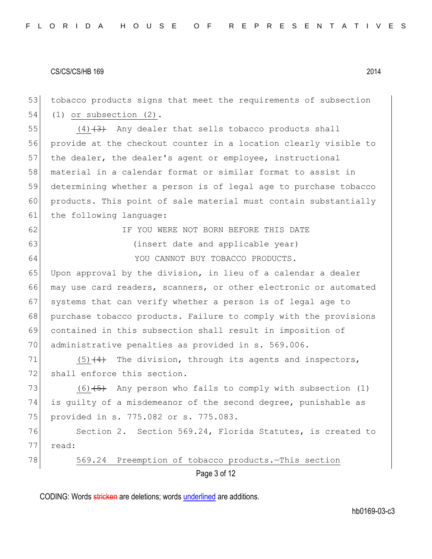53 tobacco products signs that meet the requirements of subsection 54 (1) or subsection (2). 55  $(4)$   $(3)$  Any dealer that sells tobacco products shall 56 provide at the checkout counter in a location clearly visible to 57 the dealer, the dealer's agent or employee, instructional 58 material in a calendar format or similar format to assist in 59 determining whether a person is of legal age to purchase tobacco 60 products. This point of sale material must contain substantially 61 the following language: 62 IF YOU WERE NOT BORN BEFORE THIS DATE 63 (insert date and applicable year) 64 YOU CANNOT BUY TOBACCO PRODUCTS. 65 Upon approval by the division, in lieu of a calendar a dealer 66 may use card readers, scanners, or other electronic or automated 67 systems that can verify whether a person is of legal age to 68 purchase tobacco products. Failure to comply with the provisions 69 contained in this subsection shall result in imposition of 70 administrative penalties as provided in s. 569.006. 71  $(5)$   $(4)$  The division, through its agents and inspectors, 72 shall enforce this section. 73 (6) $(5)$  Any person who fails to comply with subsection (1) 74 is guilty of a misdemeanor of the second degree, punishable as 75 provided in s. 775.082 or s. 775.083. 76 Section 2. Section 569.24, Florida Statutes, is created to 77 read: 78 569.24 Preemption of tobacco products. This section

Page 3 of 12

CODING: Words stricken are deletions; words underlined are additions.

hb0169-03-c3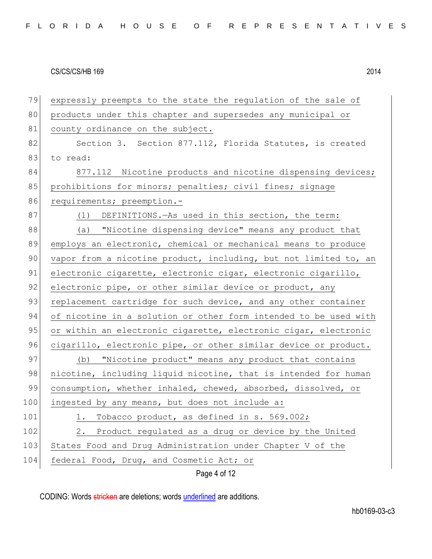79 expressly preempts to the state the regulation of the sale of 80 products under this chapter and supersedes any municipal or 81 county ordinance on the subject. 82 Section 3. Section 877.112, Florida Statutes, is created 83 to read: 84 877.112 Nicotine products and nicotine dispensing devices; 85 prohibitions for minors; penalties; civil fines; signage 86 requirements; preemption.-87 (1) DEFINITIONS.—As used in this section, the term: 88 (a) "Nicotine dispensing device" means any product that 89 employs an electronic, chemical or mechanical means to produce 90 vapor from a nicotine product, including, but not limited to, an 91 electronic cigarette, electronic cigar, electronic cigarillo, 92 electronic pipe, or other similar device or product, any 93 replacement cartridge for such device, and any other container 94 of nicotine in a solution or other form intended to be used with 95 or within an electronic cigarette, electronic cigar, electronic 96 cigarillo, electronic pipe, or other similar device or product. 97 (b) "Nicotine product" means any product that contains 98 nicotine, including liquid nicotine, that is intended for human 99 consumption, whether inhaled, chewed, absorbed, dissolved, or 100 ingested by any means, but does not include a: 101 1. Tobacco product, as defined in s. 569.002; 102 2. Product regulated as a drug or device by the United 103 States Food and Drug Administration under Chapter V of the 104 federal Food, Drug, and Cosmetic Act; or

Page 4 of 12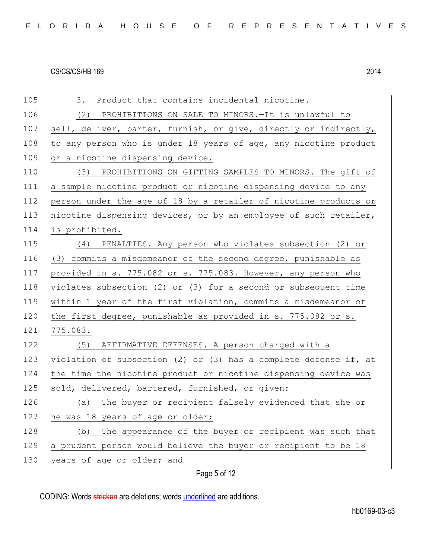105 3. Product that contains incidental nicotine. 106 (2) PROHIBITIONS ON SALE TO MINORS.—It is unlawful to 107 sell, deliver, barter, furnish, or give, directly or indirectly, 108 to any person who is under 18 years of age, any nicotine product 109 or a nicotine dispensing device. 110 (3) PROHIBITIONS ON GIFTING SAMPLES TO MINORS.—The gift of 111 a sample nicotine product or nicotine dispensing device to any 112 person under the age of 18 by a retailer of nicotine products or 113 nicotine dispensing devices, or by an employee of such retailer, 114 is prohibited. 115 (4) PENALTIES.—Any person who violates subsection (2) or 116 (3) commits a misdemeanor of the second degree, punishable as 117 provided in s. 775.082 or s. 775.083. However, any person who 118 violates subsection (2) or (3) for a second or subsequent time 119 within 1 year of the first violation, commits a misdemeanor of 120 the first degree, punishable as provided in s. 775.082 or s. 121 775.083. 122 (5) AFFIRMATIVE DEFENSES.—A person charged with a 123 violation of subsection (2) or (3) has a complete defense if, at 124 the time the nicotine product or nicotine dispensing device was 125 sold, delivered, bartered, furnished, or given: 126 (a) The buyer or recipient falsely evidenced that she or 127 he was 18 years of age or older; 128 (b) The appearance of the buyer or recipient was such that 129 a prudent person would believe the buyer or recipient to be 18 130 years of age or older; and

#### Page 5 of 12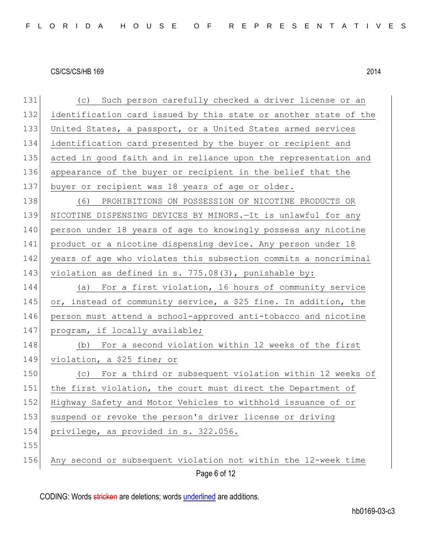| 131 | (c) Such person carefully checked a driver license or an         |
|-----|------------------------------------------------------------------|
| 132 | identification card issued by this state or another state of the |
| 133 | United States, a passport, or a United States armed services     |
| 134 | identification card presented by the buyer or recipient and      |
| 135 | acted in good faith and in reliance upon the representation and  |
| 136 | appearance of the buyer or recipient in the belief that the      |
| 137 | buyer or recipient was 18 years of age or older.                 |
| 138 | (6) PROHIBITIONS ON POSSESSION OF NICOTINE PRODUCTS OR           |
| 139 | NICOTINE DISPENSING DEVICES BY MINORS. - It is unlawful for any  |
| 140 | person under 18 years of age to knowingly possess any nicotine   |
| 141 | product or a nicotine dispensing device. Any person under 18     |
| 142 | years of age who violates this subsection commits a noncriminal  |
| 143 | violation as defined in s. 775.08(3), punishable by:             |
| 144 | (a) For a first violation, 16 hours of community service         |
| 145 | or, instead of community service, a \$25 fine. In addition, the  |
| 146 | person must attend a school-approved anti-tobacco and nicotine   |
| 147 | program, if locally available;                                   |
| 148 | (b) For a second violation within 12 weeks of the first          |
| 149 | violation, a \$25 fine; or                                       |
| 150 | (c) For a third or subsequent violation within 12 weeks of       |
| 151 | the first violation, the court must direct the Department of     |
| 152 | Highway Safety and Motor Vehicles to withhold issuance of or     |
| 153 | suspend or revoke the person's driver license or driving         |
| 154 | privilege, as provided in s. 322.056.                            |
| 155 |                                                                  |
| 156 | Any second or subsequent violation not within the 12-week time   |
|     | Page 6 of 12                                                     |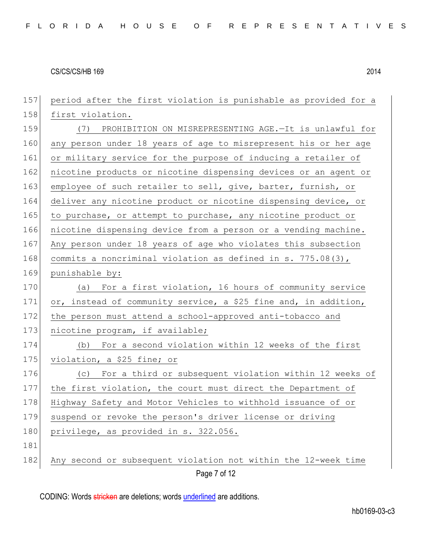| 157 | period after the first violation is punishable as provided for a |
|-----|------------------------------------------------------------------|
| 158 | first violation.                                                 |
| 159 | (7) PROHIBITION ON MISREPRESENTING AGE.-It is unlawful for       |
| 160 | any person under 18 years of age to misrepresent his or her age  |
| 161 | or military service for the purpose of inducing a retailer of    |
| 162 | nicotine products or nicotine dispensing devices or an agent or  |
| 163 | employee of such retailer to sell, give, barter, furnish, or     |
| 164 | deliver any nicotine product or nicotine dispensing device, or   |
| 165 | to purchase, or attempt to purchase, any nicotine product or     |
| 166 | nicotine dispensing device from a person or a vending machine.   |
| 167 | Any person under 18 years of age who violates this subsection    |
| 168 | commits a noncriminal violation as defined in s. $775.08(3)$ ,   |
| 169 | punishable by:                                                   |
| 170 | (a) For a first violation, 16 hours of community service         |
| 171 | or, instead of community service, a \$25 fine and, in addition,  |
| 172 | the person must attend a school-approved anti-tobacco and        |
| 173 | nicotine program, if available;                                  |
| 174 | For a second violation within 12 weeks of the first<br>(b)       |
| 175 | violation, a \$25 fine; or                                       |
| 176 | (c) For a third or subsequent violation within 12 weeks of       |
| 177 | the first violation, the court must direct the Department of     |
| 178 | Highway Safety and Motor Vehicles to withhold issuance of or     |
| 179 | suspend or revoke the person's driver license or driving         |
| 180 | privilege, as provided in s. 322.056.                            |
| 181 |                                                                  |
| 182 | Any second or subsequent violation not within the 12-week time   |
|     | Page 7 of 12                                                     |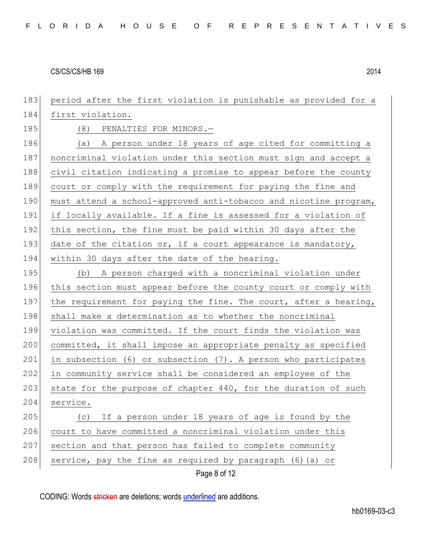| 183 | period after the first violation is punishable as provided for a |
|-----|------------------------------------------------------------------|
| 184 | first violation.                                                 |
| 185 | (8) PENALTIES FOR MINORS.-                                       |
| 186 | (a) A person under 18 years of age cited for committing a        |
| 187 | noncriminal violation under this section must sign and accept a  |
| 188 | civil citation indicating a promise to appear before the county  |
| 189 | court or comply with the requirement for paying the fine and     |
| 190 | must attend a school-approved anti-tobacco and nicotine program, |
| 191 | if locally available. If a fine is assessed for a violation of   |
| 192 | this section, the fine must be paid within 30 days after the     |
| 193 | date of the citation or, if a court appearance is mandatory,     |
| 194 | within 30 days after the date of the hearing.                    |
| 195 | (b) A person charged with a noncriminal violation under          |
| 196 | this section must appear before the county court or comply with  |
| 197 | the requirement for paying the fine. The court, after a hearing, |
| 198 | shall make a determination as to whether the noncriminal         |
| 199 | violation was committed. If the court finds the violation was    |
| 200 | committed, it shall impose an appropriate penalty as specified   |
| 201 | in subsection (6) or subsection (7). A person who participates   |
| 202 | in community service shall be considered an employee of the      |
| 203 | state for the purpose of chapter 440, for the duration of such   |
| 204 | service.                                                         |
| 205 | If a person under 18 years of age is found by the<br>(C)         |
| 206 | court to have committed a noncriminal violation under this       |
| 207 | section and that person has failed to complete community         |
| 208 | service, pay the fine as required by paragraph (6) (a) or        |
|     | Page 8 of 12                                                     |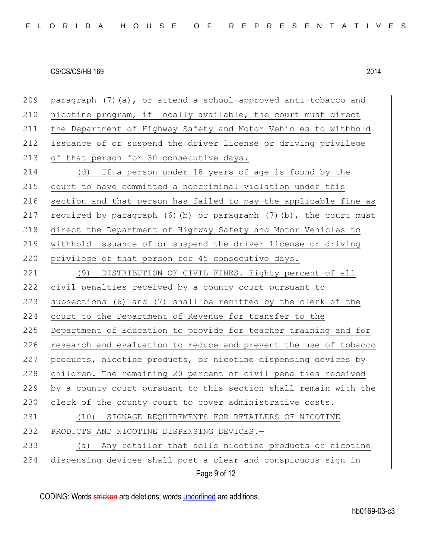Page 9 of 12 209 paragraph (7)(a), or attend a school-approved anti-tobacco and 210 nicotine program, if locally available, the court must direct 211 the Department of Highway Safety and Motor Vehicles to withhold 212 issuance of or suspend the driver license or driving privilege 213 of that person for 30 consecutive days. 214 (d) If a person under 18 years of age is found by the 215 court to have committed a noncriminal violation under this 216 section and that person has failed to pay the applicable fine as 217 required by paragraph  $(6)(b)$  or paragraph  $(7)(b)$ , the court must 218 direct the Department of Highway Safety and Motor Vehicles to 219 withhold issuance of or suspend the driver license or driving 220 privilege of that person for 45 consecutive days. 221 (9) DISTRIBUTION OF CIVIL FINES.-Eighty percent of all 222 civil penalties received by a county court pursuant to 223 subsections (6) and (7) shall be remitted by the clerk of the 224 court to the Department of Revenue for transfer to the 225 Department of Education to provide for teacher training and for 226 research and evaluation to reduce and prevent the use of tobacco 227 products, nicotine products, or nicotine dispensing devices by 228 children. The remaining 20 percent of civil penalties received 229 by a county court pursuant to this section shall remain with the 230 clerk of the county court to cover administrative costs. 231 (10) SIGNAGE REQUIREMENTS FOR RETAILERS OF NICOTINE 232 PRODUCTS AND NICOTINE DISPENSING DEVICES.-233 (a) Any retailer that sells nicotine products or nicotine 234 dispensing devices shall post a clear and conspicuous sign in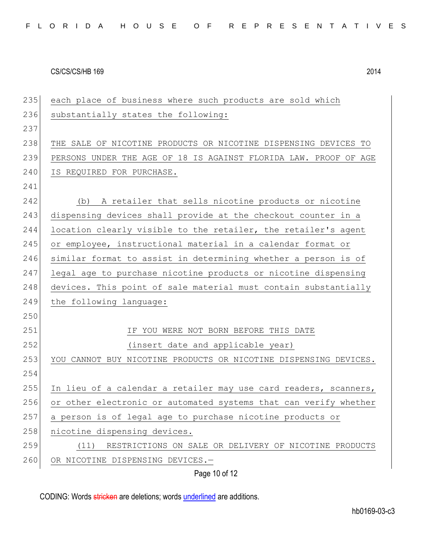| 235 | each place of business where such products are sold which        |
|-----|------------------------------------------------------------------|
| 236 | substantially states the following:                              |
| 237 |                                                                  |
| 238 | THE SALE OF NICOTINE PRODUCTS OR NICOTINE DISPENSING DEVICES TO  |
| 239 | PERSONS UNDER THE AGE OF 18 IS AGAINST FLORIDA LAW. PROOF OF AGE |
| 240 | IS REQUIRED FOR PURCHASE.                                        |
| 241 |                                                                  |
| 242 | A retailer that sells nicotine products or nicotine<br>(b)       |
| 243 | dispensing devices shall provide at the checkout counter in a    |
| 244 | location clearly visible to the retailer, the retailer's agent   |
| 245 | or employee, instructional material in a calendar format or      |
| 246 | similar format to assist in determining whether a person is of   |
| 247 | legal age to purchase nicotine products or nicotine dispensing   |
| 248 | devices. This point of sale material must contain substantially  |
| 249 | the following language:                                          |
| 250 |                                                                  |
| 251 | IF YOU WERE NOT BORN BEFORE THIS DATE                            |
| 252 | (insert date and applicable year)                                |
| 253 | YOU CANNOT BUY NICOTINE PRODUCTS OR NICOTINE DISPENSING DEVICES. |
| 254 |                                                                  |
| 255 | In lieu of a calendar a retailer may use card readers, scanners, |
| 256 | or other electronic or automated systems that can verify whether |
| 257 | a person is of legal age to purchase nicotine products or        |
| 258 | nicotine dispensing devices.                                     |
| 259 | RESTRICTIONS ON SALE OR DELIVERY OF NICOTINE PRODUCTS<br>(11)    |
| 260 | OR NICOTINE DISPENSING DEVICES.-                                 |
|     | Page 10 of 12                                                    |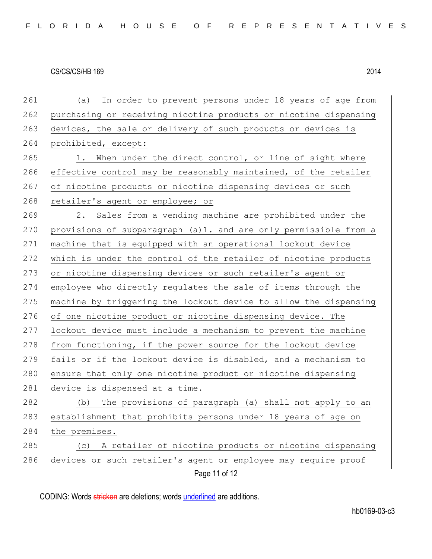Page 11 of 12 261 (a) In order to prevent persons under 18 years of age from 262 purchasing or receiving nicotine products or nicotine dispensing 263 devices, the sale or delivery of such products or devices is 264 prohibited, except: 265 1. When under the direct control, or line of sight where 266 effective control may be reasonably maintained, of the retailer 267 of nicotine products or nicotine dispensing devices or such 268 retailer's agent or employee; or 269 2. Sales from a vending machine are prohibited under the 270 provisions of subparagraph (a)1. and are only permissible from a 271 machine that is equipped with an operational lockout device 272 which is under the control of the retailer of nicotine products 273 or nicotine dispensing devices or such retailer's agent or 274 employee who directly regulates the sale of items through the 275 machine by triggering the lockout device to allow the dispensing 276 of one nicotine product or nicotine dispensing device. The 277 lockout device must include a mechanism to prevent the machine 278 from functioning, if the power source for the lockout device 279 fails or if the lockout device is disabled, and a mechanism to 280 ensure that only one nicotine product or nicotine dispensing 281 device is dispensed at a time. 282 (b) The provisions of paragraph (a) shall not apply to an 283 establishment that prohibits persons under 18 years of age on 284 the premises. 285 (c) A retailer of nicotine products or nicotine dispensing 286 devices or such retailer's agent or employee may require proof